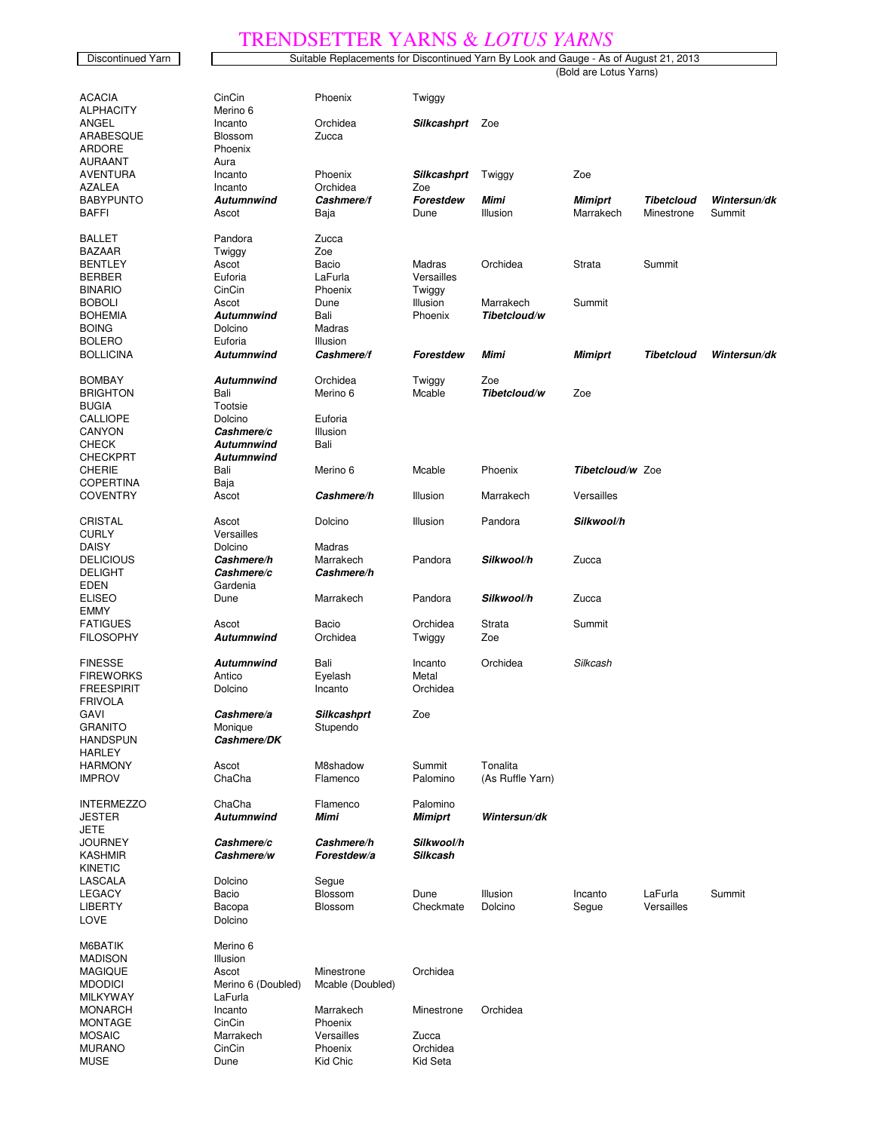## TRENDSETTER YARNS & *LOTUS YARNS*

MUSE **Dune** Dune Kid Chic Kid Seta

|                           |                                 | $\overline{v}$                                                                        | $\frac{1}{1}$    | 2010 U           | 2211 12 T D             |                   |              |
|---------------------------|---------------------------------|---------------------------------------------------------------------------------------|------------------|------------------|-------------------------|-------------------|--------------|
| Discontinued Yarn         |                                 | Suitable Replacements for Discontinued Yarn By Look and Gauge - As of August 21, 2013 |                  |                  |                         |                   |              |
|                           |                                 | (Bold are Lotus Yarns)                                                                |                  |                  |                         |                   |              |
|                           |                                 |                                                                                       |                  |                  |                         |                   |              |
| <b>ACACIA</b>             | CinCin                          | Phoenix                                                                               | Twiggy           |                  |                         |                   |              |
| <b>ALPHACITY</b>          | Merino 6                        |                                                                                       |                  |                  |                         |                   |              |
| ANGEL                     | Incanto                         | Orchidea                                                                              | Silkcashprt      | Zoe              |                         |                   |              |
| ARABESQUE                 | Blossom                         | Zucca                                                                                 |                  |                  |                         |                   |              |
| <b>ARDORE</b>             | Phoenix                         |                                                                                       |                  |                  |                         |                   |              |
| AURAANT                   | Aura                            |                                                                                       |                  |                  |                         |                   |              |
| AVENTURA                  | Incanto                         | Phoenix                                                                               | Silkcashprt      | Twiggy           | Zoe                     |                   |              |
| <b>AZALEA</b>             | Incanto                         | Orchidea                                                                              | Zoe              |                  |                         |                   |              |
| <b>BABYPUNTO</b>          | <b>Autumnwind</b>               | Cashmere/f                                                                            | Forestdew        | Mimi             | <b>Mimiprt</b>          | <b>Tibetcloud</b> | Wintersun/dk |
| <b>BAFFI</b>              | Ascot                           | Baja                                                                                  | Dune             | Illusion         | Marrakech               | Minestrone        | Summit       |
| <b>BALLET</b>             | Pandora                         |                                                                                       |                  |                  |                         |                   |              |
|                           |                                 | Zucca                                                                                 |                  |                  |                         |                   |              |
| BAZAAR<br><b>BENTLEY</b>  | Twiggy                          | Zoe                                                                                   | Madras           | Orchidea         |                         |                   |              |
| <b>BERBER</b>             | Ascot<br>Euforia                | Bacio<br>LaFurla                                                                      | Versailles       |                  | Strata                  | Summit            |              |
| <b>BINARIO</b>            | CinCin                          | Phoenix                                                                               | Twiggy           |                  |                         |                   |              |
| <b>BOBOLI</b>             | Ascot                           | Dune                                                                                  | Illusion         | Marrakech        | Summit                  |                   |              |
| <b>BOHEMIA</b>            | Autumnwind                      | Bali                                                                                  | Phoenix          | Tibetcloud/w     |                         |                   |              |
| <b>BOING</b>              | Dolcino                         |                                                                                       |                  |                  |                         |                   |              |
| <b>BOLERO</b>             | Euforia                         | Madras<br>Illusion                                                                    |                  |                  |                         |                   |              |
| <b>BOLLICINA</b>          | <b>Autumnwind</b>               | Cashmere/f                                                                            | Forestdew        | Mimi             |                         | <b>Tibetcloud</b> | Wintersun/dk |
|                           |                                 |                                                                                       |                  |                  | Mimiprt                 |                   |              |
| <b>BOMBAY</b>             | Autumnwind                      | Orchidea                                                                              |                  | Zoe              |                         |                   |              |
| <b>BRIGHTON</b>           | Bali                            | Merino 6                                                                              | Twiggy<br>Mcable | Tibetcloud/w     | Zoe                     |                   |              |
| <b>BUGIA</b>              | Tootsie                         |                                                                                       |                  |                  |                         |                   |              |
| <b>CALLIOPE</b>           | Dolcino                         | Euforia                                                                               |                  |                  |                         |                   |              |
| CANYON                    |                                 |                                                                                       |                  |                  |                         |                   |              |
| <b>CHECK</b>              | Cashmere/c<br><b>Autumnwind</b> | Illusion                                                                              |                  |                  |                         |                   |              |
|                           |                                 | Bali                                                                                  |                  |                  |                         |                   |              |
| <b>CHECKPRT</b><br>CHERIE | Autumnwind                      |                                                                                       |                  |                  | <b>Tibetcloud/w Zoe</b> |                   |              |
| <b>COPERTINA</b>          | Bali                            | Merino 6                                                                              | Mcable           | Phoenix          |                         |                   |              |
| <b>COVENTRY</b>           | Baja                            |                                                                                       |                  |                  |                         |                   |              |
|                           | Ascot                           | Cashmere/h                                                                            | Illusion         | Marrakech        | <b>Versailles</b>       |                   |              |
| CRISTAL                   | Ascot                           | Dolcino                                                                               | Illusion         | Pandora          | Silkwool/h              |                   |              |
| <b>CURLY</b>              | Versailles                      |                                                                                       |                  |                  |                         |                   |              |
| <b>DAISY</b>              | Dolcino                         | Madras                                                                                |                  |                  |                         |                   |              |
| <b>DELICIOUS</b>          | Cashmere/h                      | Marrakech                                                                             | Pandora          | Silkwool/h       | Zucca                   |                   |              |
| <b>DELIGHT</b>            | Cashmere/c                      | Cashmere/h                                                                            |                  |                  |                         |                   |              |
| <b>EDEN</b>               | Gardenia                        |                                                                                       |                  |                  |                         |                   |              |
| <b>ELISEO</b>             | Dune                            | Marrakech                                                                             | Pandora          | Silkwool/h       | Zucca                   |                   |              |
| <b>EMMY</b>               |                                 |                                                                                       |                  |                  |                         |                   |              |
| <b>FATIGUES</b>           | Ascot                           | Bacio                                                                                 | Orchidea         | Strata           | Summit                  |                   |              |
| <b>FILOSOPHY</b>          | Autumnwind                      | Orchidea                                                                              | Twiggy           | Zoe              |                         |                   |              |
|                           |                                 |                                                                                       |                  |                  |                         |                   |              |
| <b>FINESSE</b>            | <b>Autumnwind</b>               | Bali                                                                                  | Incanto          | Orchidea         | Silkcash                |                   |              |
| <b>FIREWORKS</b>          | Antico                          | Eyelash                                                                               | Metal            |                  |                         |                   |              |
| FREESPIRIT                | Dolcino                         | Incanto                                                                               | Orchidea         |                  |                         |                   |              |
| <b>FRIVOLA</b>            |                                 |                                                                                       |                  |                  |                         |                   |              |
| GAVI                      | Cashmere/a                      | Silkcashprt                                                                           | Zoe              |                  |                         |                   |              |
| <b>GRANITO</b>            | Monique                         | Stupendo                                                                              |                  |                  |                         |                   |              |
| <b>HANDSPUN</b>           | Cashmere/DK                     |                                                                                       |                  |                  |                         |                   |              |
| <b>HARLEY</b>             |                                 |                                                                                       |                  |                  |                         |                   |              |
| <b>HARMONY</b>            | Ascot                           | M8shadow                                                                              | Summit           | Tonalita         |                         |                   |              |
| <b>IMPROV</b>             | ChaCha                          | Flamenco                                                                              | Palomino         | (As Ruffle Yarn) |                         |                   |              |
|                           |                                 |                                                                                       |                  |                  |                         |                   |              |
| <b>INTERMEZZO</b>         | ChaCha                          | Flamenco                                                                              | Palomino         |                  |                         |                   |              |
| JESTER                    | <b>Autumnwind</b>               | Mimi                                                                                  | <b>Mimiprt</b>   | Wintersun/dk     |                         |                   |              |
| <b>JETE</b>               |                                 |                                                                                       |                  |                  |                         |                   |              |
| JOURNEY                   | Cashmere/c                      | Cashmere/h                                                                            | Silkwool/h       |                  |                         |                   |              |
| <b>KASHMIR</b>            | Cashmere/w                      | Forestdew/a                                                                           | <b>Silkcash</b>  |                  |                         |                   |              |
| <b>KINETIC</b>            |                                 |                                                                                       |                  |                  |                         |                   |              |
| LASCALA                   | Dolcino                         | Segue                                                                                 |                  |                  |                         |                   |              |
| LEGACY                    | Bacio                           | Blossom                                                                               | Dune             | Illusion         | Incanto                 | LaFurla           | Summit       |
| <b>LIBERTY</b>            | Bacopa                          | <b>Blossom</b>                                                                        | Checkmate        | Dolcino          | Segue                   | Versailles        |              |
| LOVE                      | Dolcino                         |                                                                                       |                  |                  |                         |                   |              |
|                           |                                 |                                                                                       |                  |                  |                         |                   |              |
| M6BATIK                   | Merino 6                        |                                                                                       |                  |                  |                         |                   |              |
| <b>MADISON</b>            | Illusion                        |                                                                                       |                  |                  |                         |                   |              |
| <b>MAGIQUE</b>            | Ascot                           | Minestrone                                                                            | Orchidea         |                  |                         |                   |              |
| <b>MDODICI</b>            | Merino 6 (Doubled)              | Mcable (Doubled)                                                                      |                  |                  |                         |                   |              |
| MILKYWAY                  | LaFurla                         |                                                                                       |                  |                  |                         |                   |              |
| <b>MONARCH</b>            | Incanto                         | Marrakech                                                                             | Minestrone       | Orchidea         |                         |                   |              |
| MONTAGE                   | CinCin                          | Phoenix                                                                               |                  |                  |                         |                   |              |
| <b>MOSAIC</b>             | Marrakech                       | Versailles                                                                            | Zucca            |                  |                         |                   |              |
| <b>MURANO</b>             | CinCin                          | Phoenix                                                                               | Orchidea         |                  |                         |                   |              |